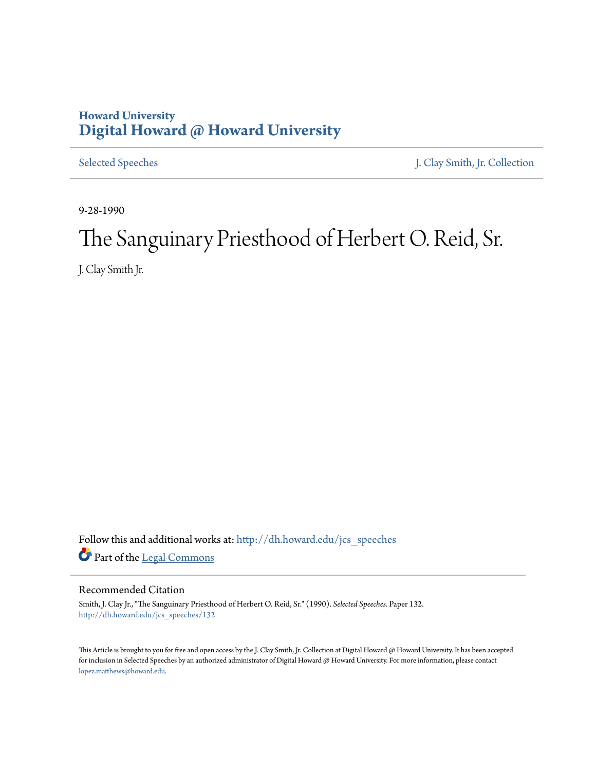## **Howard University [Digital Howard @ Howard University](http://dh.howard.edu?utm_source=dh.howard.edu%2Fjcs_speeches%2F132&utm_medium=PDF&utm_campaign=PDFCoverPages)**

[Selected Speeches](http://dh.howard.edu/jcs_speeches?utm_source=dh.howard.edu%2Fjcs_speeches%2F132&utm_medium=PDF&utm_campaign=PDFCoverPages) [J. Clay Smith, Jr. Collection](http://dh.howard.edu/jcsmith?utm_source=dh.howard.edu%2Fjcs_speeches%2F132&utm_medium=PDF&utm_campaign=PDFCoverPages)

9-28-1990

## The Sanguinary Priesthood of Herbert O. Reid, Sr.

J. Clay Smith Jr.

Follow this and additional works at: [http://dh.howard.edu/jcs\\_speeches](http://dh.howard.edu/jcs_speeches?utm_source=dh.howard.edu%2Fjcs_speeches%2F132&utm_medium=PDF&utm_campaign=PDFCoverPages) Part of the [Legal Commons](http://network.bepress.com/hgg/discipline/502?utm_source=dh.howard.edu%2Fjcs_speeches%2F132&utm_medium=PDF&utm_campaign=PDFCoverPages)

## Recommended Citation

Smith, J. Clay Jr., "The Sanguinary Priesthood of Herbert O. Reid, Sr." (1990). *Selected Speeches.* Paper 132. [http://dh.howard.edu/jcs\\_speeches/132](http://dh.howard.edu/jcs_speeches/132?utm_source=dh.howard.edu%2Fjcs_speeches%2F132&utm_medium=PDF&utm_campaign=PDFCoverPages)

This Article is brought to you for free and open access by the J. Clay Smith, Jr. Collection at Digital Howard @ Howard University. It has been accepted for inclusion in Selected Speeches by an authorized administrator of Digital Howard @ Howard University. For more information, please contact [lopez.matthews@howard.edu.](mailto:lopez.matthews@howard.edu)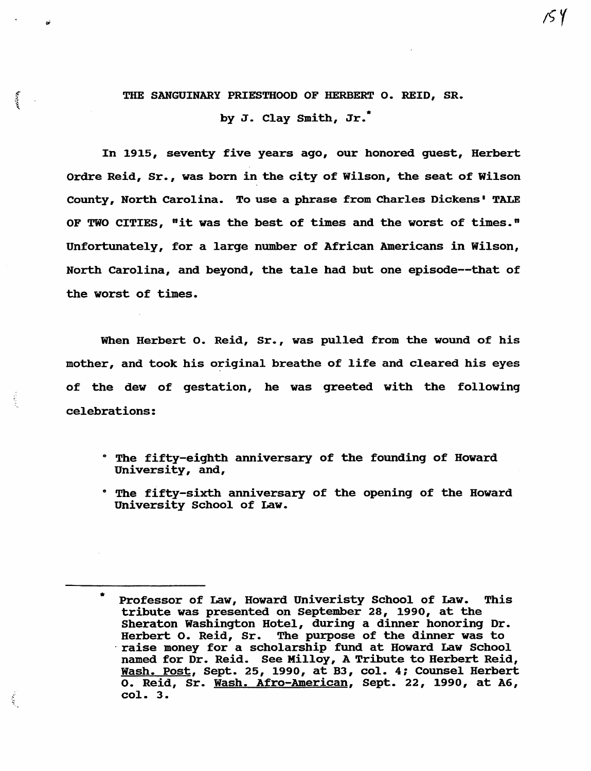## THE SANGUINARY PRIESTHOOD OF HERBERT O. REID, SR.

by J. Clay Smith,  $Jr.$ 

In 1915, seventy five years ago, our honored guest, Herbert Ordre Reid, Sr., was born in the city of Wilson, the seat of Wilson County, North Carolina. To use a phrase from Charles Dickens· TALE OF TWO CITIES, "it was the best of times and the worst of times." Unfortunately, for a large number of African Americans in Wilson, North Carolina, and beyond, the tale had but one episode--that of the worst of times.

When Herbert o. Reid, Sr., was pulled from the wound of his mother, and took his original breathe of life and cleared his eyes of the dew of gestation, he was greeted with the following celebrations:

- $\cdot$  The fifty-eighth anniversary of the founding of Howard University, and,
- . The fifty-sixth anniversary of the opening of the Howard University School of Law.

हो।<br>प

Professor of Law, Howard Univeristy School of Law. This tribute was presented on September 28, 1990, at the Sheraton Washington Hotel, during a dinner honoring Dr. Herbert o. Reid, Sr. The purpose of the dinner was to raise money for a scholarship fund at Howard Law School named for Dr. Reid. See Milloy, A Tribute to Herbert Reid, Wash. Post, Sept. 25, 1990, at B3, col. 4; Counsel Herbert o. Reid, Sr. Wash. Afro-American, Sept. 22, 1990, at A6, col. 3.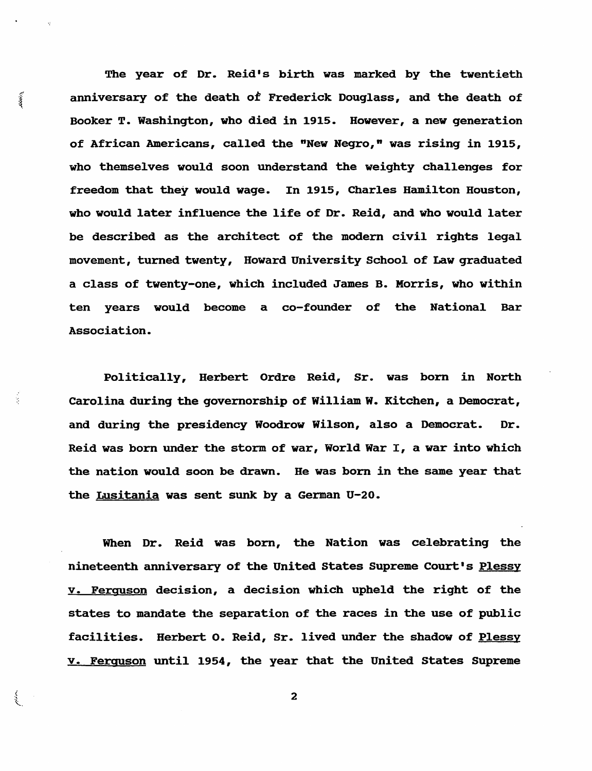The year of Dr. Reid's birth was marked by the twentieth { anniversary of the death of Frederick Douqlass, and the death of Booker T. Washinqton, who died in 1915. However, a new qeneration of African Americans, called the "New Negro," was rising in 1915, who themselves would soon understand the weiqhty challenqes for freedom that they would waqe. In 1915, Charles Hamilton Houston, who would later influence the life of Dr. Reid, and who would later be described as the architect of the modern civil riqhts leqal movement, turned twenty, Howard University School of Law qraduated a class of twenty-one, which included James B. Morris, who within ten years would become a co-founder of the National Bar Association.

Politically, Herbert Ordre Reid, Sr. was born in North Carolina durinq the qovernorship of William W. Kitchen, a Democrat, and durinq the presidency Woodrow Wilson, also a Democrat. Dr. Reid was born under the storm of war, World War I, a war into which the nation would soon be drawn. He was born in the same year that the Lusitania was sent sunk by a German U-20.

 $\frac{1}{2}$ 

When Dr. Reid was born, the Nation was celebratinq the nineteenth anniversary of the United States Supreme Court's Plessy v. Ferguson decision, a decision which upheld the riqht of the states to mandate the separation of the races in the use of public facilities. Herbert o. Reid, Sr. lived under the shadow of Plessy v. Ferguson until 1954, the year that the united states Supreme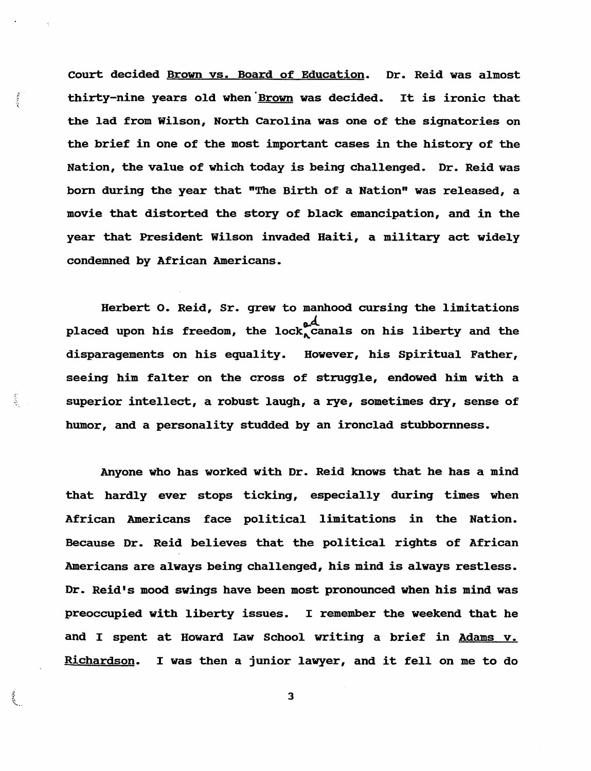Court decided Brown vs. Board of Education. Dr. Reid was almost thirty-nine years old when 'Brown was decided. It is ironic that the lad from Wilson, North Carolina was one of the signatories on the brief in one of the most important cases in the history of the Nation, the value of which today is being challenged. Dr. Reid was born during the year that "The Birth of a Nation" was released, a movie that distorted the story of black emancipation, and in the year that President Wilson invaded Haiti, a military act widely condemned by African Americans.

 $\frac{1}{2}$ 

多。

Herbert o. Reid, Sr. grew to manhood cursing the limitations placed upon his freedom, the lock<sub>o</sub>d and the placed upon his freedom, the lock<sub>o</sub>canals on his liberty and the disparagements on his equality. However, his Spiritual Father, seeing him falter on the cross of struggle, endowed him with a superior intellect, a robust laugh, a rye, sometimes dry, sense of humor, and a personality studded by an ironclad stubbornness.

Anyone who has worked with Dr. Reid knows that he has a mind that hardly ever stops ticking, especially during times when African Americans face political limitations in the Nation. Because Dr. Reid believes that the political rights of African Americans are always being challenged, his mind is always restless. Dr. Reid's mood swings have been most pronounced when his mind was preoccupied with liberty issues. I remember the weekend that he and I spent at Howard Law School writing a brief in Adams v. Richardson. I was then a junior lawyer, and it fell on me to do

 $\mathbb{R}$  3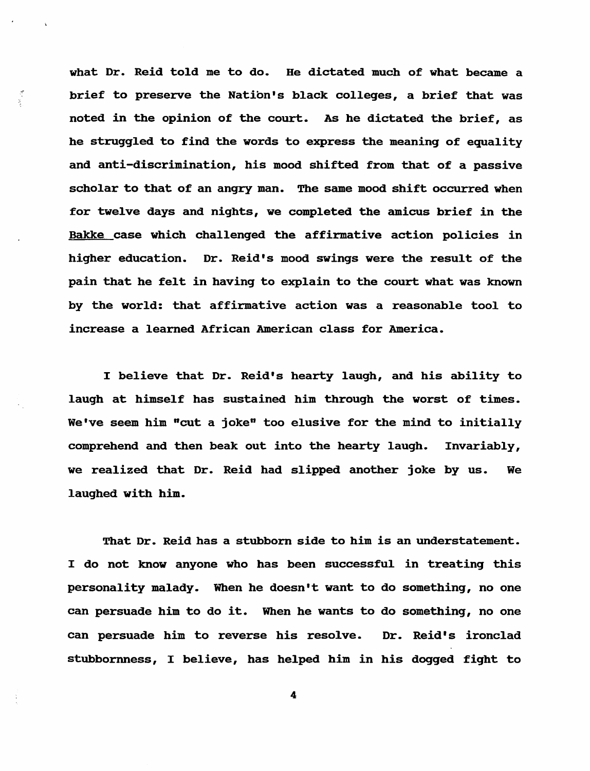what Dr. Reid told me to do. He dictated much of what became a brief to preserve the Natibn's black colleges, a brief that was noted in the opinion of the court. As he dictated the brief, as he struggled to find the words to express the meaning of equality and anti-discrimination, his mood shifted from that of a passive scholar to that of an angry man. The same mood shift occurred when for twelve days and nights, we completed the amicus brief in the Bakke case which challenged the affirmative action policies in higher education. Dr. Reid's mood swings were the result of the pain that he felt in having to explain to the court what was known by the world: that affirmative action was a reasonable tool to increase a learned African American class for America.

 $\mathcal{L}_{\mathcal{A}}$ 

I believe that Dr. Reid's hearty laugh, and his ability to laugh at himself has sustained him through the worst of times. We've seem him "cut a joke" too elusive for the mind to initially comprehend and then beak out into the hearty laugh. Invariably, we realized that Dr. Reid had slipped another joke by us. We laughed with him.

That Dr. Reid has a stubborn side to him is an understatement. I do not know anyone who has been successful in treating this personality malady. When he doesn't want to do something, no one can persuade him to do it. When he wants to do something, no one can persuade him to reverse his resolve. Dr. Reid's ironclad stubbornness, I believe, has helped him in his dogged fight to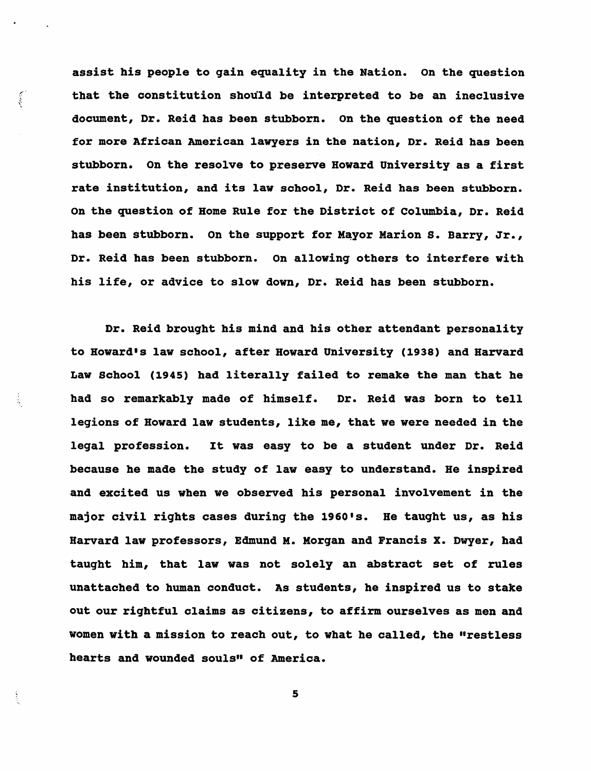assist his people to gain equality in the Nation. On the question that the constitution should be interpreted to be an ineclusive document, Dr. Reid has been stubborn. On the question of the need for more African American lawyers in the nation, Dr. Reid has been stubborn. On the resolve to preserve Howard University as a first rate institution, and its law school, Dr. Reid has been stubborn. On the question of Home Rule for the District of columbia, Dr. Reid has been stubborn. On the support for Mayor Marion S. Barry, Jr., Dr. Reid has been stubborn. On allowing others to interfere with his life, or advice to slow down, Dr. Reid has been stubborn.

 $\frac{1}{2}$ 

Dr. Reid brought his mind and his other attendant personality to Howard's law school, after Howard University (1938) and Harvard Law School (1945) had literally failed to remake the man that he had so remarkably made of himself. Dr. Reid was born to tell legions of Howard law students, like me, that we were needed in the legal profession. It was easy to be a student under Dr. Reid because he made the study of law easy to understand. He inspired and excited us when we observed his personal involvement in the major civil rights cases during the 1960's. He tauqht us, as his Harvard law professors, Edmund M. Morgan and Francis X. Dwyer, had taught him, that law was not solely an abstract set of rules unattached to human conduct. As students, he inspired us to stake out our rightful claims as citizens, to affirm ourselves as men and women with a mission to reach out, to what he called, the "restless hearts and wounded souls" of America.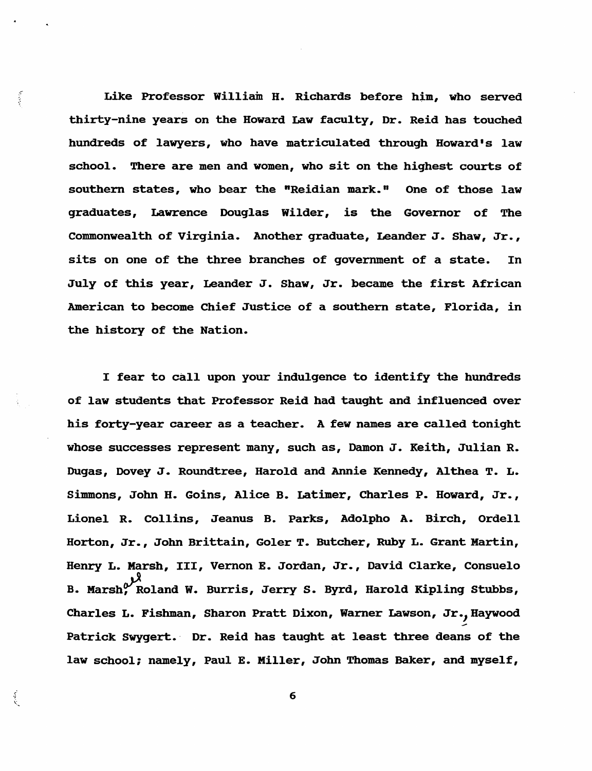Like Professor William H. Richards before him, who served thirty-nine years on the Howard Law faculty, Dr. Reid has touched hundreds of lawyers, who have matriculated through Howard's law school. There are men and women, who sit on the highest courts of southern states, who bear the "Reidian mark." One of those law graduates, Lawrence Douglas Wilder, is the Governor of The Commonwealth of virginia. Another graduate, Leander J. Shaw, Jr., sits on one of the three branches of government of a state. In July of this year, Leander J. Shaw, Jr. became the first African American to become Chief Justice of a southern state, Florida, in the history of the Nation.

**Access** 

I fear to call upon your indulgence to identify the hundreds of law stUdents that Professor Reid had taught and influenced over his forty-year career as a teacher. A few names are called tonight whose successes represent many, such as, Damon J. Keith, Julian R. Dugas, Dovey J. Roundtree, Harold and Annie Kennedy, Althea T. L. Simmons, John H. Goins, Alice B. Latimer, Charles P. Howard, Jr., Lionel R. Collins, Jeanus B. Parks, Adolpho A. Birch, Ordell Horton, Jr., John Brittain, Goler T. Butcher, Ruby L. Grant Martin, Henry L. Marsh, III, Vernon E. Jordan, Jr., David Clarke, Consuelo B. Marsh, Roland W. Burris, Jerry S. Byrd, Harold Kipling Stubbs, Charles L. Fishman, Sharon Pratt Dixon, Warner Lawson, Jr., Haywood Patrick Swygert. Dr. Reid has taught at least three deans of the law school; namely, Paul E. Miller, John Thomas Baker, and myself,